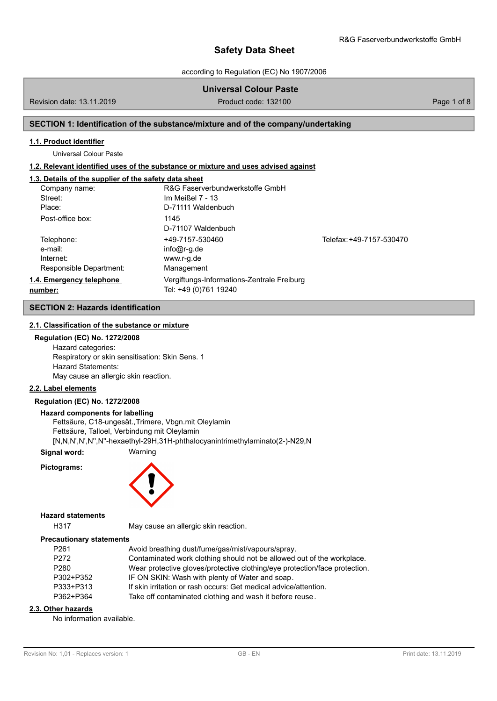according to Regulation (EC) No 1907/2006

# **Universal Colour Paste**

Revision date: 13.11.2019 **Product code: 132100** Product code: 132100 **Page 1 of 8** 

# **SECTION 1: Identification of the substance/mixture and of the company/undertaking**

#### **1.1. Product identifier**

Universal Colour Paste

#### **1.2. Relevant identified uses of the substance or mixture and uses advised against**

### **1.3. Details of the supplier of the safety data sheet**

| Company name:                       | R&G Faserverbundwerkstoffe GmbH                                     |                          |
|-------------------------------------|---------------------------------------------------------------------|--------------------------|
| Street:                             | Im Meißel 7 - 13                                                    |                          |
| Place:                              | D-71111 Waldenbuch                                                  |                          |
| Post-office box:                    | 1145                                                                |                          |
|                                     | D-71107 Waldenbuch                                                  |                          |
| Telephone:                          | +49-7157-530460                                                     | Telefax: +49-7157-530470 |
| e-mail:                             | $info@r-g.de$                                                       |                          |
| Internet:                           | www.r-g.de                                                          |                          |
| Responsible Department:             | Management                                                          |                          |
| 1.4. Emergency telephone<br>number: | Vergiftungs-Informations-Zentrale Freiburg<br>Tel: +49 (0)761 19240 |                          |

### **SECTION 2: Hazards identification**

## **2.1. Classification of the substance or mixture**

### **Regulation (EC) No. 1272/2008**

Hazard categories: Respiratory or skin sensitisation: Skin Sens. 1 Hazard Statements: May cause an allergic skin reaction.

### **2.2. Label elements**

### **Regulation (EC) No. 1272/2008**

# **Hazard components for labelling**

Fettsäure, C18-ungesät.,Trimere, Vbgn.mit Oleylamin Fettsäure, Talloel, Verbindung mit Oleylamin [N,N,N',N',N'',N''-hexaethyl-29H,31H-phthalocyanintrimethylaminato(2-)-N29,N

**Signal word:** Warning

**Pictograms:**



#### **Hazard statements**

H317 May cause an allergic skin reaction.

#### **Precautionary statements**

| P <sub>261</sub> | Avoid breathing dust/fume/gas/mist/vapours/spray.                          |
|------------------|----------------------------------------------------------------------------|
| P272             | Contaminated work clothing should not be allowed out of the workplace.     |
| P280             | Wear protective gloves/protective clothing/eye protection/face protection. |
| P302+P352        | IF ON SKIN: Wash with plenty of Water and soap.                            |
| P333+P313        | If skin irritation or rash occurs: Get medical advice/attention.           |
| P362+P364        | Take off contaminated clothing and wash it before reuse.                   |

## **2.3. Other hazards**

No information available.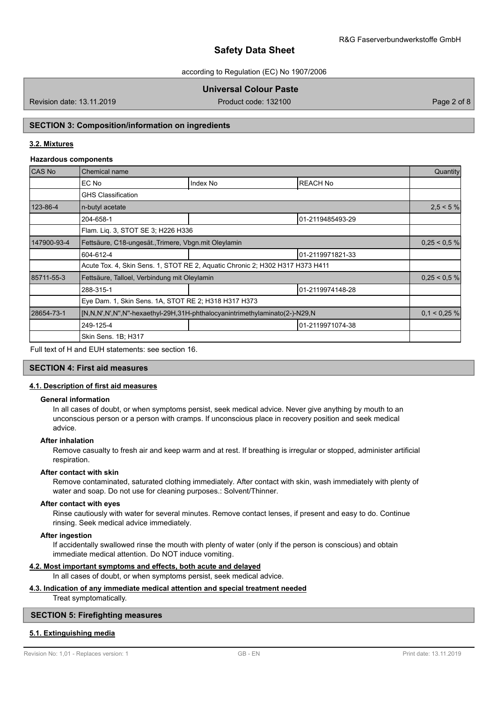according to Regulation (EC) No 1907/2006

# **Universal Colour Paste**

Revision date: 13.11.2019 **Product code: 132100** Product code: 132100 **Page 2 of 8** 

## **SECTION 3: Composition/information on ingredients**

# **3.2. Mixtures**

# **Hazardous components**

| <b>CAS No</b> | Chemical name                                                                 |          |                  | Quantity        |
|---------------|-------------------------------------------------------------------------------|----------|------------------|-----------------|
|               | EC No                                                                         | Index No | <b>REACH No</b>  |                 |
|               | <b>GHS Classification</b>                                                     |          |                  |                 |
| 123-86-4      | n-butyl acetate                                                               |          |                  | $2,5 < 5\%$     |
|               | 204-658-1                                                                     |          | 01-2119485493-29 |                 |
|               | Flam. Lig. 3, STOT SE 3; H226 H336                                            |          |                  |                 |
| 147900-93-4   | Fettsäure, C18-ungesät., Trimere, Vbgn. mit Oleylamin                         |          |                  | $0,25 < 0,5\%$  |
|               | 604-612-4                                                                     |          | 01-2119971821-33 |                 |
|               | Acute Tox. 4, Skin Sens. 1, STOT RE 2, Aquatic Chronic 2; H302 H317 H373 H411 |          |                  |                 |
| 85711-55-3    | Fettsäure, Talloel, Verbindung mit Oleylamin                                  |          |                  | $0,25 < 0.5 \%$ |
|               | 288-315-1                                                                     |          | 01-2119974148-28 |                 |
|               | Eye Dam. 1, Skin Sens. 1A, STOT RE 2; H318 H317 H373                          |          |                  |                 |
| 28654-73-1    | [[N,N,N',N',N'',N''-hexaethyl-29H,31H-phthalocyanintrimethylaminato(2-)-N29,N |          |                  | $0,1 < 0,25 \%$ |
|               | 249-125-4                                                                     |          | 01-2119971074-38 |                 |
|               | Skin Sens. 1B; H317                                                           |          |                  |                 |

Full text of H and EUH statements: see section 16.

# **SECTION 4: First aid measures**

# **4.1. Description of first aid measures**

### **General information**

In all cases of doubt, or when symptoms persist, seek medical advice. Never give anything by mouth to an unconscious person or a person with cramps. If unconscious place in recovery position and seek medical advice.

### **After inhalation**

Remove casualty to fresh air and keep warm and at rest. If breathing is irregular or stopped, administer artificial respiration.

### **After contact with skin**

Remove contaminated, saturated clothing immediately. After contact with skin, wash immediately with plenty of water and soap. Do not use for cleaning purposes.: Solvent/Thinner.

### **After contact with eyes**

Rinse cautiously with water for several minutes. Remove contact lenses, if present and easy to do. Continue rinsing. Seek medical advice immediately.

### **After ingestion**

If accidentally swallowed rinse the mouth with plenty of water (only if the person is conscious) and obtain immediate medical attention. Do NOT induce vomiting.

# **4.2. Most important symptoms and effects, both acute and delayed**

In all cases of doubt, or when symptoms persist, seek medical advice.

## **4.3. Indication of any immediate medical attention and special treatment needed**

Treat symptomatically.

### **SECTION 5: Firefighting measures**

# **5.1. Extinguishing media**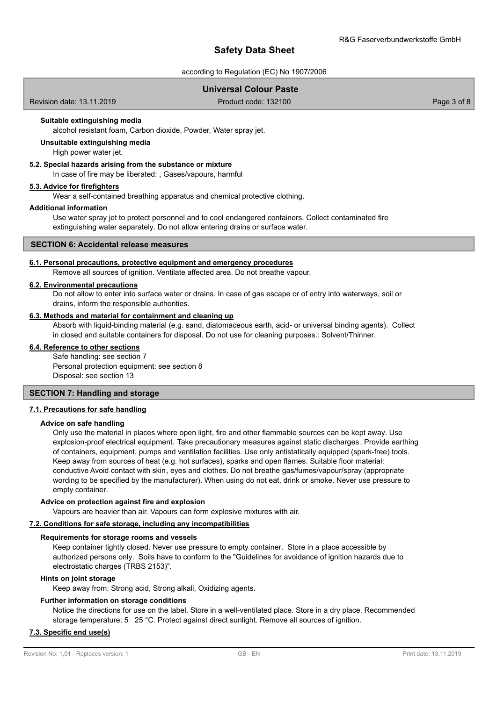### according to Regulation (EC) No 1907/2006

# **Universal Colour Paste**

Revision date: 13.11.2019 **Product code: 132100** Product code: 132100 **Page 3 of 8** 

# **Suitable extinguishing media**

alcohol resistant foam, Carbon dioxide, Powder, Water spray jet.

**Unsuitable extinguishing media**

High power water jet.

# **5.2. Special hazards arising from the substance or mixture**

In case of fire may be liberated: , Gases/vapours, harmful

### **5.3. Advice for firefighters**

Wear a self-contained breathing apparatus and chemical protective clothing.

### **Additional information**

Use water spray jet to protect personnel and to cool endangered containers. Collect contaminated fire extinguishing water separately. Do not allow entering drains or surface water.

### **SECTION 6: Accidental release measures**

#### **6.1. Personal precautions, protective equipment and emergency procedures**

Remove all sources of ignition. Ventilate affected area. Do not breathe vapour.

## **6.2. Environmental precautions**

Do not allow to enter into surface water or drains. In case of gas escape or of entry into waterways, soil or drains, inform the responsible authorities.

#### **6.3. Methods and material for containment and cleaning up**

Absorb with liquid-binding material (e.g. sand, diatomaceous earth, acid- or universal binding agents). Collect in closed and suitable containers for disposal. Do not use for cleaning purposes.: Solvent/Thinner.

### **6.4. Reference to other sections**

Safe handling: see section 7 Personal protection equipment: see section 8 Disposal: see section 13

### **SECTION 7: Handling and storage**

### **7.1. Precautions for safe handling**

### **Advice on safe handling**

Only use the material in places where open light, fire and other flammable sources can be kept away. Use explosion-proof electrical equipment. Take precautionary measures against static discharges. Provide earthing of containers, equipment, pumps and ventilation facilities. Use only antistatically equipped (spark-free) tools. Keep away from sources of heat (e.g. hot surfaces), sparks and open flames. Suitable floor material: conductive Avoid contact with skin, eyes and clothes. Do not breathe gas/fumes/vapour/spray (appropriate wording to be specified by the manufacturer). When using do not eat, drink or smoke. Never use pressure to empty container.

### **Advice on protection against fire and explosion**

Vapours are heavier than air. Vapours can form explosive mixtures with air.

### **7.2. Conditions for safe storage, including any incompatibilities**

### **Requirements for storage rooms and vessels**

Keep container tightly closed. Never use pressure to empty container. Store in a place accessible by authorized persons only. Soils have to conform to the "Guidelines for avoidance of ignition hazards due to electrostatic charges (TRBS 2153)".

#### **Hints on joint storage**

Keep away from: Strong acid, Strong alkali, Oxidizing agents.

### **Further information on storage conditions**

Notice the directions for use on the label. Store in a well-ventilated place. Store in a dry place. Recommended storage temperature: 5 25 °C. Protect against direct sunlight. Remove all sources of ignition.

### **7.3. Specific end use(s)**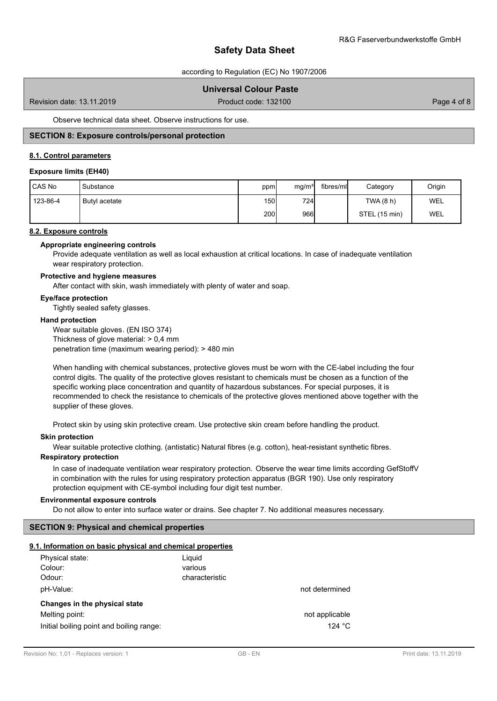### according to Regulation (EC) No 1907/2006

# **Universal Colour Paste**

Revision date: 13.11.2019 **Product code: 132100** Product code: 132100 **Page 4 of 8** 

Observe technical data sheet. Observe instructions for use.

### **SECTION 8: Exposure controls/personal protection**

### **8.1. Control parameters**

### **Exposure limits (EH40)**

| CAS No   | Substance     | ppm   | mg/m <sup>3</sup> | fibres/ml | Category      | Origin |
|----------|---------------|-------|-------------------|-----------|---------------|--------|
| 123-86-4 | Butyl acetate | 150 l | 724               |           | TWA (8 h)     | WEL    |
|          |               | 200l  | 966l              |           | STEL (15 min) | WEL    |

### **8.2. Exposure controls**

### **Appropriate engineering controls**

Provide adequate ventilation as well as local exhaustion at critical locations. In case of inadequate ventilation wear respiratory protection.

## **Protective and hygiene measures**

After contact with skin, wash immediately with plenty of water and soap.

### **Eye/face protection**

Tightly sealed safety glasses.

### **Hand protection**

Wear suitable gloves. (EN ISO 374) Thickness of glove material: > 0,4 mm penetration time (maximum wearing period): > 480 min

When handling with chemical substances, protective gloves must be worn with the CE-label including the four control digits. The quality of the protective gloves resistant to chemicals must be chosen as a function of the specific working place concentration and quantity of hazardous substances. For special purposes, it is recommended to check the resistance to chemicals of the protective gloves mentioned above together with the supplier of these gloves.

Protect skin by using skin protective cream. Use protective skin cream before handling the product.

# **Skin protection**

Wear suitable protective clothing. (antistatic) Natural fibres (e.g. cotton), heat-resistant synthetic fibres.

### **Respiratory protection**

In case of inadequate ventilation wear respiratory protection. Observe the wear time limits according GefStoffV in combination with the rules for using respiratory protection apparatus (BGR 190). Use only respiratory protection equipment with CE-symbol including four digit test number.

#### **Environmental exposure controls**

Do not allow to enter into surface water or drains. See chapter 7. No additional measures necessary.

## **SECTION 9: Physical and chemical properties**

### **9.1. Information on basic physical and chemical properties**

| Physical state:                          | Liquid         |
|------------------------------------------|----------------|
| Colour:                                  | various        |
| Odour:                                   | characteristic |
| pH-Value:                                | not determined |
| Changes in the physical state            |                |
| Melting point:                           | not applicable |
| Initial boiling point and boiling range: | 124 °C         |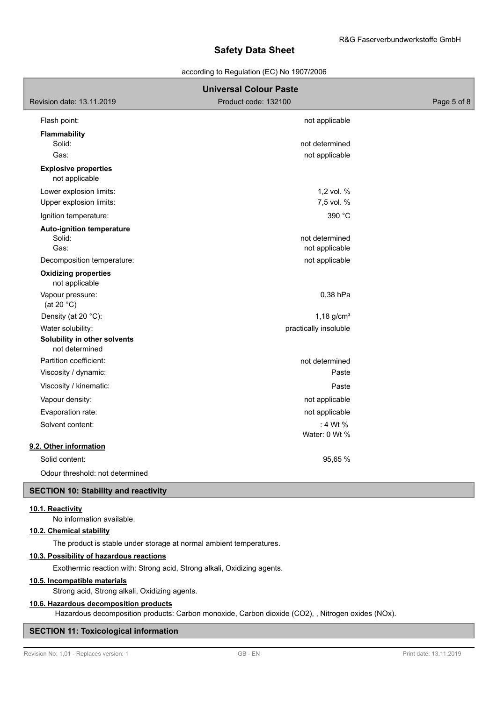according to Regulation (EC) No 1907/2006

|                                                | <b>Universal Colour Paste</b> |             |
|------------------------------------------------|-------------------------------|-------------|
| Revision date: 13.11.2019                      | Product code: 132100          | Page 5 of 8 |
| Flash point:                                   | not applicable                |             |
| Flammability                                   |                               |             |
| Solid:                                         | not determined                |             |
| Gas:                                           | not applicable                |             |
| <b>Explosive properties</b><br>not applicable  |                               |             |
| Lower explosion limits:                        | 1,2 vol. %                    |             |
| Upper explosion limits:                        | 7,5 vol. %                    |             |
| Ignition temperature:                          | 390 °C                        |             |
| <b>Auto-ignition temperature</b>               |                               |             |
| Solid:                                         | not determined                |             |
| Gas:                                           | not applicable                |             |
| Decomposition temperature:                     | not applicable                |             |
| <b>Oxidizing properties</b><br>not applicable  |                               |             |
| Vapour pressure:<br>(at 20 $°C$ )              | 0,38 hPa                      |             |
| Density (at 20 °C):                            | 1,18 $g/cm^{3}$               |             |
| Water solubility:                              | practically insoluble         |             |
| Solubility in other solvents<br>not determined |                               |             |
| Partition coefficient:                         | not determined                |             |
| Viscosity / dynamic:                           | Paste                         |             |
| Viscosity / kinematic:                         | Paste                         |             |
| Vapour density:                                | not applicable                |             |
| Evaporation rate:                              | not applicable                |             |
| Solvent content:                               | : 4 Wt $%$<br>Water: 0 Wt %   |             |
| 9.2. Other information                         |                               |             |
| Solid content:                                 | 95,65 %                       |             |
| Odour threshold: not determined                |                               |             |
| <b>SECTION 10: Stability and reactivity</b>    |                               |             |

# **10.1. Reactivity**

No information available.

# **10.2. Chemical stability**

The product is stable under storage at normal ambient temperatures.

## **10.3. Possibility of hazardous reactions**

Exothermic reaction with: Strong acid, Strong alkali, Oxidizing agents.

# **10.5. Incompatible materials**

Strong acid, Strong alkali, Oxidizing agents.

# **10.6. Hazardous decomposition products**

Hazardous decomposition products: Carbon monoxide, Carbon dioxide (CO2), , Nitrogen oxides (NOx).

## **SECTION 11: Toxicological information**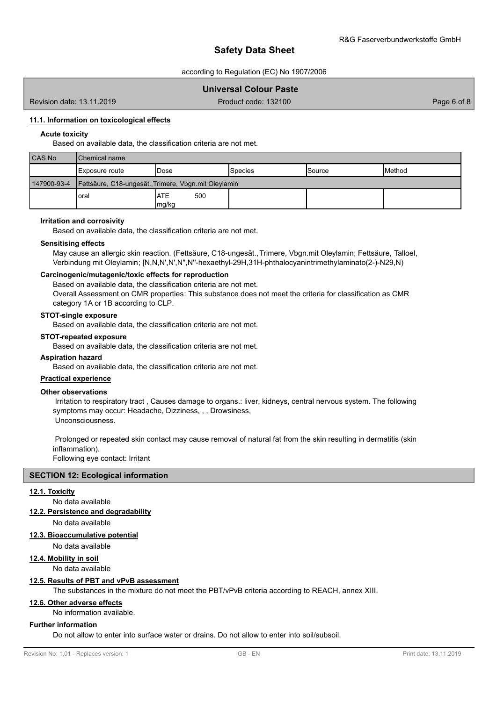according to Regulation (EC) No 1907/2006

# **Universal Colour Paste**

Revision date: 13.11.2019 **Product code: 132100** Product code: 132100 **Page 6 of 8** 

# **11.1. Information on toxicological effects**

## **Acute toxicity**

Based on available data, the classification criteria are not met.

| CAS No      | <b>I</b> Chemical name                                |                      |                  |               |                 |
|-------------|-------------------------------------------------------|----------------------|------------------|---------------|-----------------|
|             | Exposure route                                        | Dose                 | <b>I</b> Species | <b>Source</b> | <b>I</b> Method |
| 147900-93-4 | Fettsäure, C18-ungesät., Trimere, Vbgn. mit Oleylamin |                      |                  |               |                 |
|             | 'oral                                                 | 500<br>IATE<br>mg/kg |                  |               |                 |

### **Irritation and corrosivity**

Based on available data, the classification criteria are not met.

#### **Sensitising effects**

May cause an allergic skin reaction. (Fettsäure, C18-ungesät.,Trimere, Vbgn.mit Oleylamin; Fettsäure, Talloel, Verbindung mit Oleylamin; [N,N,N',N',N'',N''-hexaethyl-29H,31H-phthalocyanintrimethylaminato(2-)-N29,N)

### **Carcinogenic/mutagenic/toxic effects for reproduction**

Based on available data, the classification criteria are not met.

Overall Assessment on CMR properties: This substance does not meet the criteria for classification as CMR category 1A or 1B according to CLP.

#### **STOT-single exposure**

Based on available data, the classification criteria are not met.

## **STOT-repeated exposure**

Based on available data, the classification criteria are not met.

### **Aspiration hazard**

Based on available data, the classification criteria are not met.

### **Practical experience**

### **Other observations**

 Irritation to respiratory tract , Causes damage to organs.: liver, kidneys, central nervous system. The following symptoms may occur: Headache, Dizziness, , , Drowsiness, Unconsciousness.

 Prolonged or repeated skin contact may cause removal of natural fat from the skin resulting in dermatitis (skin inflammation).

Following eye contact: Irritant

# **SECTION 12: Ecological information**

### **12.1. Toxicity**

No data available

## **12.2. Persistence and degradability**

No data available

# **12.3. Bioaccumulative potential**

No data available

### **12.4. Mobility in soil**

No data available

### **12.5. Results of PBT and vPvB assessment**

The substances in the mixture do not meet the PBT/vPvB criteria according to REACH, annex XIII.

### **12.6. Other adverse effects**

No information available.

### **Further information**

Do not allow to enter into surface water or drains. Do not allow to enter into soil/subsoil.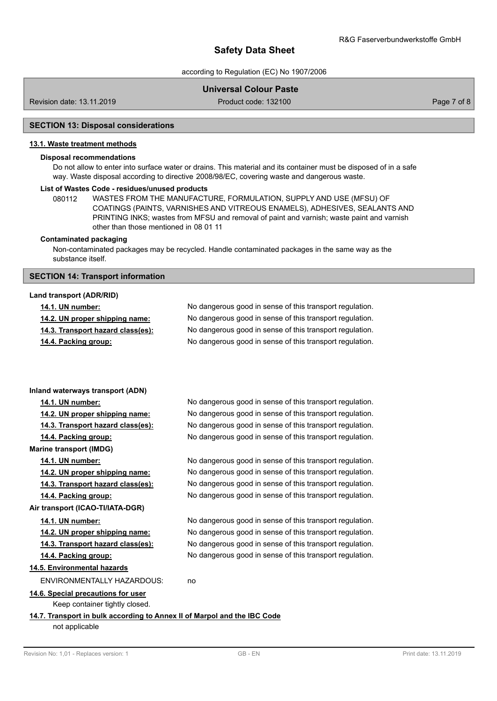### according to Regulation (EC) No 1907/2006

# **Universal Colour Paste**

Revision date: 13.11.2019 **Product code: 132100** Product code: 132100 **Page 7 of 8** 

# **SECTION 13: Disposal considerations**

### **13.1. Waste treatment methods**

# **Disposal recommendations**

Do not allow to enter into surface water or drains. This material and its container must be disposed of in a safe way. Waste disposal according to directive 2008/98/EC, covering waste and dangerous waste.

#### **List of Wastes Code - residues/unused products**

080112 WASTES FROM THE MANUFACTURE, FORMULATION, SUPPLY AND USE (MFSU) OF COATINGS (PAINTS, VARNISHES AND VITREOUS ENAMELS), ADHESIVES, SEALANTS AND PRINTING INKS; wastes from MFSU and removal of paint and varnish; waste paint and varnish other than those mentioned in 08 01 11

### **Contaminated packaging**

Non-contaminated packages may be recycled. Handle contaminated packages in the same way as the substance itself.

# **SECTION 14: Transport information**

### **Land transport (ADR/RID)**

| <b>14.1. UN number:</b>           | No dangerous good in sense of this transport regulation. |
|-----------------------------------|----------------------------------------------------------|
| 14.2. UN proper shipping name:    | No dangerous good in sense of this transport regulation. |
| 14.3. Transport hazard class(es): | No dangerous good in sense of this transport regulation. |
| 14.4. Packing group:              | No dangerous good in sense of this transport regulation. |

### **Inland waterways transport (ADN)**

**14.1. UN number:** No dangerous good in sense of this transport regulation. **14.2. UN proper shipping name:** No dangerous good in sense of this transport regulation. **14.3. Transport hazard class(es):** No dangerous good in sense of this transport regulation. **14.4. Packing group:** No dangerous good in sense of this transport regulation. **Marine transport (IMDG) 14.1. UN number:** No dangerous good in sense of this transport regulation. **14.2. UN proper shipping name:** No dangerous good in sense of this transport regulation. **14.3. Transport hazard class(es):** No dangerous good in sense of this transport regulation. **14.4. Packing group:** No dangerous good in sense of this transport regulation. **Air transport (ICAO-TI/IATA-DGR) 14.1. UN number:** No dangerous good in sense of this transport regulation. **14.2. UN proper shipping name:** No dangerous good in sense of this transport regulation. **14.3. Transport hazard class(es):** No dangerous good in sense of this transport regulation. **14.4. Packing group:** No dangerous good in sense of this transport regulation. **14.5. Environmental hazards** ENVIRONMENTALLY HAZARDOUS: no **14.6. Special precautions for user** Keep container tightly closed.

# **14.7. Transport in bulk according to Annex II of Marpol and the IBC Code**

# not applicable